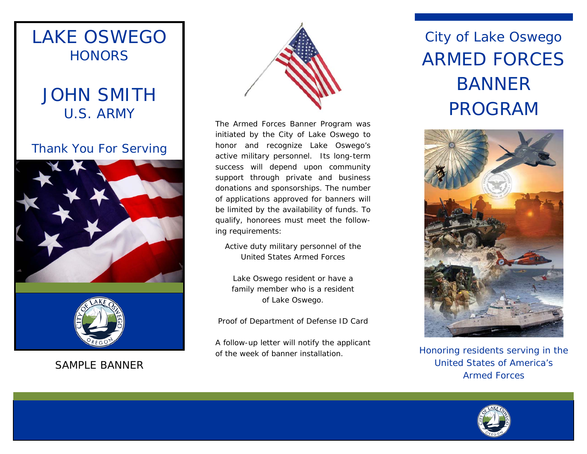

SAMPLE BANNER



The Armed Forces Banner Program was initiated by the City of Lake Oswego to honor and recognize Lake Oswego's active military personnel. Its long-term success will depend upon community support through private and business donations and sponsorships. The number of applications approved for banners will be limited by the availability of funds. To qualify, honorees must meet the following requirements:

Active duty military personnel of the United States Armed Forces

Lake Oswego resident or have a family member who is a resident of Lake Oswego.

Proof of Department of Defense ID Card

A follow-up letter will notify the applicant of the week of banner installation.

# City of Lake Oswego ARMED FORCES BANNER PROGRAM



Honoring residents serving in the United States of America's Armed Forces